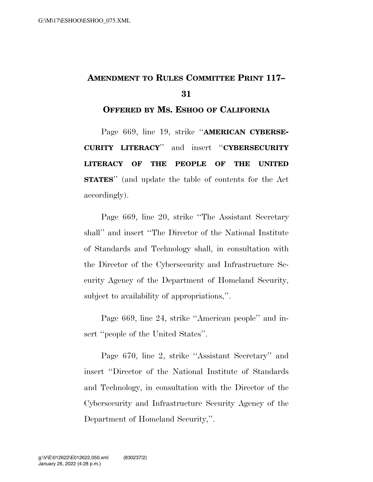## **AMENDMENT TO RULES COMMITTEE PRINT 117– 31**

## **OFFERED BY MS. ESHOO OF CALIFORNIA**

Page 669, line 19, strike ''**AMERICAN CYBERSE-CURITY LITERACY**'' and insert ''**CYBERSECURITY LITERACY OF THE PEOPLE OF THE UNITED STATES**'' (and update the table of contents for the Act accordingly).

Page 669, line 20, strike ''The Assistant Secretary shall'' and insert ''The Director of the National Institute of Standards and Technology shall, in consultation with the Director of the Cybersecurity and Infrastructure Security Agency of the Department of Homeland Security, subject to availability of appropriations,''.

Page 669, line 24, strike ''American people'' and insert ''people of the United States''.

Page 670, line 2, strike ''Assistant Secretary'' and insert ''Director of the National Institute of Standards and Technology, in consultation with the Director of the Cybersecurity and Infrastructure Security Agency of the Department of Homeland Security,''.